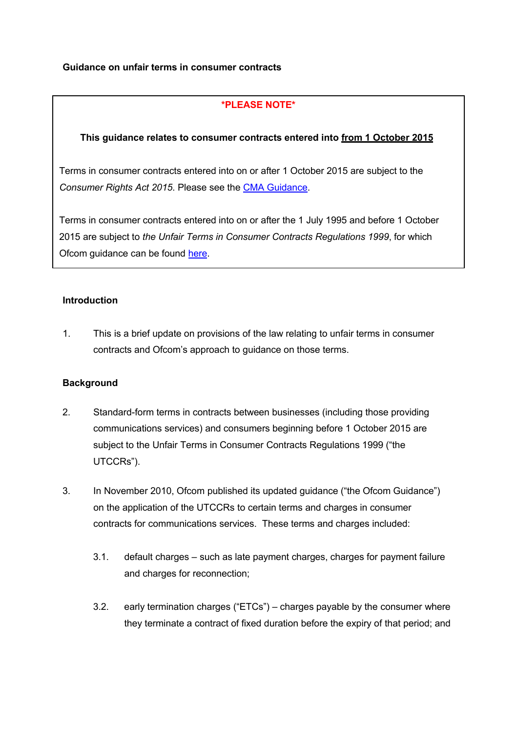### **Guidance on unfair terms in consumer contracts**

# **\*PLEASE NOTE\***

### **This guidance relates to consumer contracts entered into from 1 October 2015**

**This guidance relates to consumer contracts entered into from 1 October 2015** *Consumer Rights Act 2015*. Please see the CMA [Guidance.](https://www.gov.uk/government/uploads/system/uploads/attachment_data/file/450440/Unfair_Terms_Main_Guidance.pdf) Terms in consumer contracts entered into on or after 1 October 2015 are subject to the

Terms in consumer contracts entered into on or after the 1 July 1995 and before 1 October 2015 are subject to *the Unfair Terms in Consumer Contracts Regulations 1999*, for which Ofcom guidance can be found [here.](http://stakeholders.ofcom.org.uk/binaries/telecoms/policy/guidance-unfair-policy/Guidance.pdf)

#### **Introduction**

1. This is a brief update on provisions of the law relating to unfair terms in consumer contracts and Ofcom's approach to guidance on those terms.

#### **Background**

- 2. Standard-form terms in contracts between businesses (including those providing communications services) and consumers beginning before 1 October 2015 are subject to the Unfair Terms in Consumer Contracts Regulations 1999 ("the UTCCRs").
- 3. In November 2010, Ofcom published its updated guidance ("the Ofcom Guidance") on the application of the UTCCRs to certain terms and charges in consumer contracts for communications services. These terms and charges included:
	- 3.1. default charges such as late payment charges, charges for payment failure and charges for reconnection;
	- 3.2. early termination charges ("ETCs") charges payable by the consumer where they terminate a contract of fixed duration before the expiry of that period; and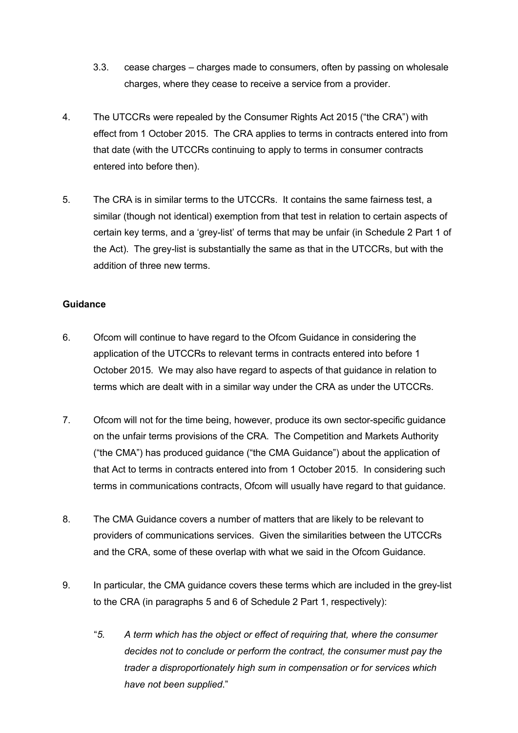- 3.3. cease charges charges made to consumers, often by passing on wholesale charges, where they cease to receive a service from a provider.
- 4. The UTCCRs were repealed by the Consumer Rights Act 2015 ("the CRA") with effect from 1 October 2015. The CRA applies to terms in contracts entered into from that date (with the UTCCRs continuing to apply to terms in consumer contracts entered into before then).
- 5. The CRA is in similar terms to the UTCCRs. It contains the same fairness test, a similar (though not identical) exemption from that test in relation to certain aspects of certain key terms, and a 'grey-list' of terms that may be unfair (in Schedule 2 Part 1 of the Act). The grey-list is substantially the same as that in the UTCCRs, but with the addition of three new terms.

### **Guidance**

- 6. Ofcom will continue to have regard to the Ofcom Guidance in considering the application of the UTCCRs to relevant terms in contracts entered into before 1 October 2015. We may also have regard to aspects of that guidance in relation to terms which are dealt with in a similar way under the CRA as under the UTCCRs.
- 7. Ofcom will not for the time being, however, produce its own sector-specific guidance on the unfair terms provisions of the CRA. The Competition and Markets Authority ("the CMA") has produced guidance ("the CMA Guidance") about the application of that Act to terms in contracts entered into from 1 October 2015. In considering such terms in communications contracts, Ofcom will usually have regard to that guidance.
- 8. The CMA Guidance covers a number of matters that are likely to be relevant to providers of communications services. Given the similarities between the UTCCRs and the CRA, some of these overlap with what we said in the Ofcom Guidance.
- 9. In particular, the CMA guidance covers these terms which are included in the grey-list to the CRA (in paragraphs 5 and 6 of Schedule 2 Part 1, respectively):
	- "*5. A term which has the object or effect of requiring that, where the consumer decides not to conclude or perform the contract, the consumer must pay the trader a disproportionately high sum in compensation or for services which have not been supplied*."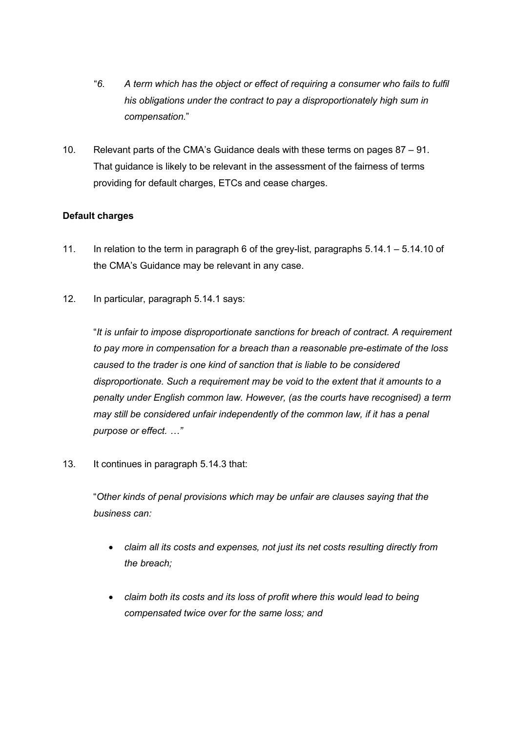- "*6. A term which has the object or effect of requiring a consumer who fails to fulfil his obligations under the contract to pay a disproportionately high sum in compensation.*"
- 10. Relevant parts of the CMA's Guidance deals with these terms on pages 87 91. That guidance is likely to be relevant in the assessment of the fairness of terms providing for default charges, ETCs and cease charges.

# **Default charges**

- 11. In relation to the term in paragraph 6 of the grey-list, paragraphs 5.14.1 5.14.10 of the CMA's Guidance may be relevant in any case.
- 12. In particular, paragraph 5.14.1 says:

"*It is unfair to impose disproportionate sanctions for breach of contract. A requirement to pay more in compensation for a breach than a reasonable pre-estimate of the loss caused to the trader is one kind of sanction that is liable to be considered disproportionate. Such a requirement may be void to the extent that it amounts to a penalty under English common law. However, (as the courts have recognised) a term may still be considered unfair independently of the common law, if it has a penal purpose or effect. …"*

13. It continues in paragraph 5.14.3 that:

"*Other kinds of penal provisions which may be unfair are clauses saying that the business can:*

- *claim all its costs and expenses, not just its net costs resulting directly from the breach;*
- *claim both its costs and its loss of profit where this would lead to being compensated twice over for the same loss; and*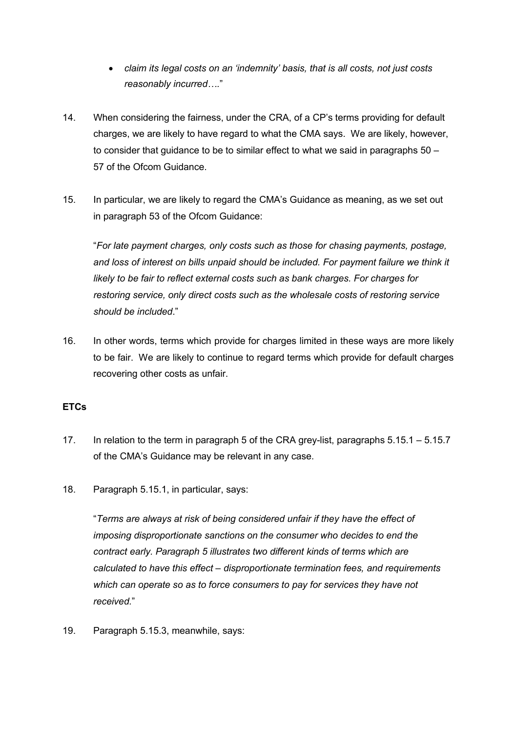- *claim its legal costs on an 'indemnity' basis, that is all costs, not just costs reasonably incurred….*"
- 14. When considering the fairness, under the CRA, of a CP's terms providing for default charges, we are likely to have regard to what the CMA says. We are likely, however, to consider that guidance to be to similar effect to what we said in paragraphs  $50 -$ 57 of the Ofcom Guidance.
- 15. In particular, we are likely to regard the CMA's Guidance as meaning, as we set out in paragraph 53 of the Ofcom Guidance:

"*For late payment charges, only costs such as those for chasing payments, postage, and loss of interest on bills unpaid should be included. For payment failure we think it likely to be fair to reflect external costs such as bank charges. For charges for restoring service, only direct costs such as the wholesale costs of restoring service should be included*."

16. In other words, terms which provide for charges limited in these ways are more likely to be fair. We are likely to continue to regard terms which provide for default charges recovering other costs as unfair.

# **ETCs**

- 17. In relation to the term in paragraph 5 of the CRA grey-list, paragraphs 5.15.1 5.15.7 of the CMA's Guidance may be relevant in any case.
- 18. Paragraph 5.15.1, in particular, says:

"*Terms are always at risk of being considered unfair if they have the effect of imposing disproportionate sanctions on the consumer who decides to end the contract early. Paragraph 5 illustrates two different kinds of terms which are calculated to have this effect – disproportionate termination fees, and requirements which can operate so as to force consumers to pay for services they have not received.*"

19. Paragraph 5.15.3, meanwhile, says: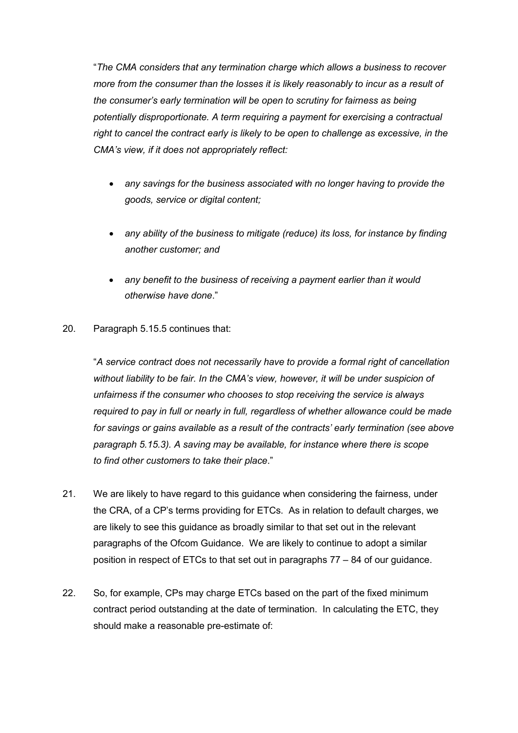"*The CMA considers that any termination charge which allows a business to recover more from the consumer than the losses it is likely reasonably to incur as a result of the consumer's early termination will be open to scrutiny for fairness as being potentially disproportionate. A term requiring a payment for exercising a contractual right to cancel the contract early is likely to be open to challenge as excessive, in the CMA's view, if it does not appropriately reflect:*

- *any savings for the business associated with no longer having to provide the goods, service or digital content;*
- *any ability of the business to mitigate (reduce) its loss, for instance by finding another customer; and*
- *any benefit to the business of receiving a payment earlier than it would otherwise have done*."
- 20. Paragraph 5.15.5 continues that:

"*A service contract does not necessarily have to provide a formal right of cancellation without liability to be fair. In the CMA's view, however, it will be under suspicion of unfairness if the consumer who chooses to stop receiving the service is always required to pay in full or nearly in full, regardless of whether allowance could be made for savings or gains available as a result of the contracts' early termination (see above paragraph 5.15.3). A saving may be available, for instance where there is scope to find other customers to take their place*."

- 21. We are likely to have regard to this guidance when considering the fairness, under the CRA, of a CP's terms providing for ETCs. As in relation to default charges, we are likely to see this guidance as broadly similar to that set out in the relevant paragraphs of the Ofcom Guidance. We are likely to continue to adopt a similar position in respect of ETCs to that set out in paragraphs 77 – 84 of our guidance.
- 22. So, for example, CPs may charge ETCs based on the part of the fixed minimum contract period outstanding at the date of termination. In calculating the ETC, they should make a reasonable pre-estimate of: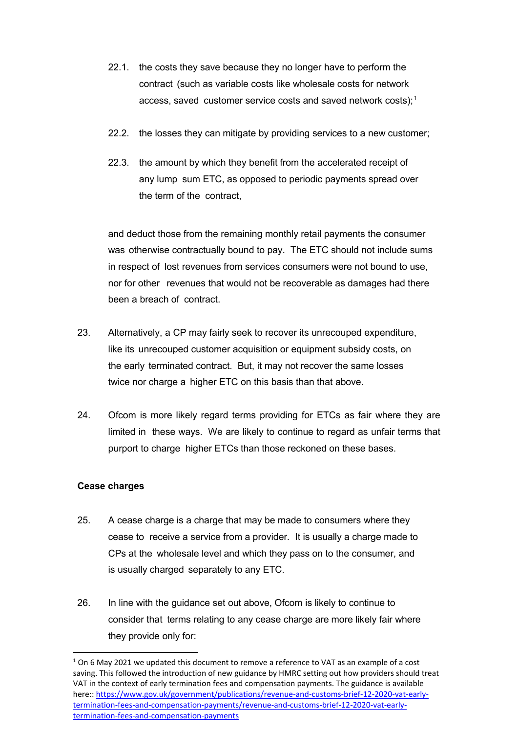- 22.1. the costs they save because they no longer have to perform the contract (such as variable costs like wholesale costs for network access, saved customer service costs and saved network costs);<sup>[1](#page-5-0)</sup>
- 22.2. the losses they can mitigate by providing services to a new customer;
- 22.3. the amount by which they benefit from the accelerated receipt of any lump sum ETC, as opposed to periodic payments spread over the term of the contract,

and deduct those from the remaining monthly retail payments the consumer was otherwise contractually bound to pay. The ETC should not include sums in respect of lost revenues from services consumers were not bound to use, nor for other revenues that would not be recoverable as damages had there been a breach of contract.

- 23. Alternatively, a CP may fairly seek to recover its unrecouped expenditure, like its unrecouped customer acquisition or equipment subsidy costs, on the early terminated contract. But, it may not recover the same losses twice nor charge a higher ETC on this basis than that above.
- 24. Ofcom is more likely regard terms providing for ETCs as fair where they are limited in these ways. We are likely to continue to regard as unfair terms that purport to charge higher ETCs than those reckoned on these bases.

#### **Cease charges**

- 25. A cease charge is a charge that may be made to consumers where they cease to receive a service from a provider. It is usually a charge made to CPs at the wholesale level and which they pass on to the consumer, and is usually charged separately to any ETC.
- 26. In line with the guidance set out above, Ofcom is likely to continue to consider that terms relating to any cease charge are more likely fair where they provide only for:

<span id="page-5-0"></span> $1$  On 6 May 2021 we updated this document to remove a reference to VAT as an example of a cost saving. This followed the introduction of new guidance by HMRC setting out how providers should treat VAT in the context of early termination fees and compensation payments. The guidance is available here:[: https://www.gov.uk/government/publications/revenue-and-customs-brief-12-2020-vat-early](https://www.gov.uk/government/publications/revenue-and-customs-brief-12-2020-vat-early-termination-fees-and-compensation-payments/revenue-and-customs-brief-12-2020-vat-early-termination-fees-and-compensation-payments)[termination-fees-and-compensation-payments/revenue-and-customs-brief-12-2020-vat-early](https://www.gov.uk/government/publications/revenue-and-customs-brief-12-2020-vat-early-termination-fees-and-compensation-payments/revenue-and-customs-brief-12-2020-vat-early-termination-fees-and-compensation-payments)[termination-fees-and-compensation-payments](https://www.gov.uk/government/publications/revenue-and-customs-brief-12-2020-vat-early-termination-fees-and-compensation-payments/revenue-and-customs-brief-12-2020-vat-early-termination-fees-and-compensation-payments)